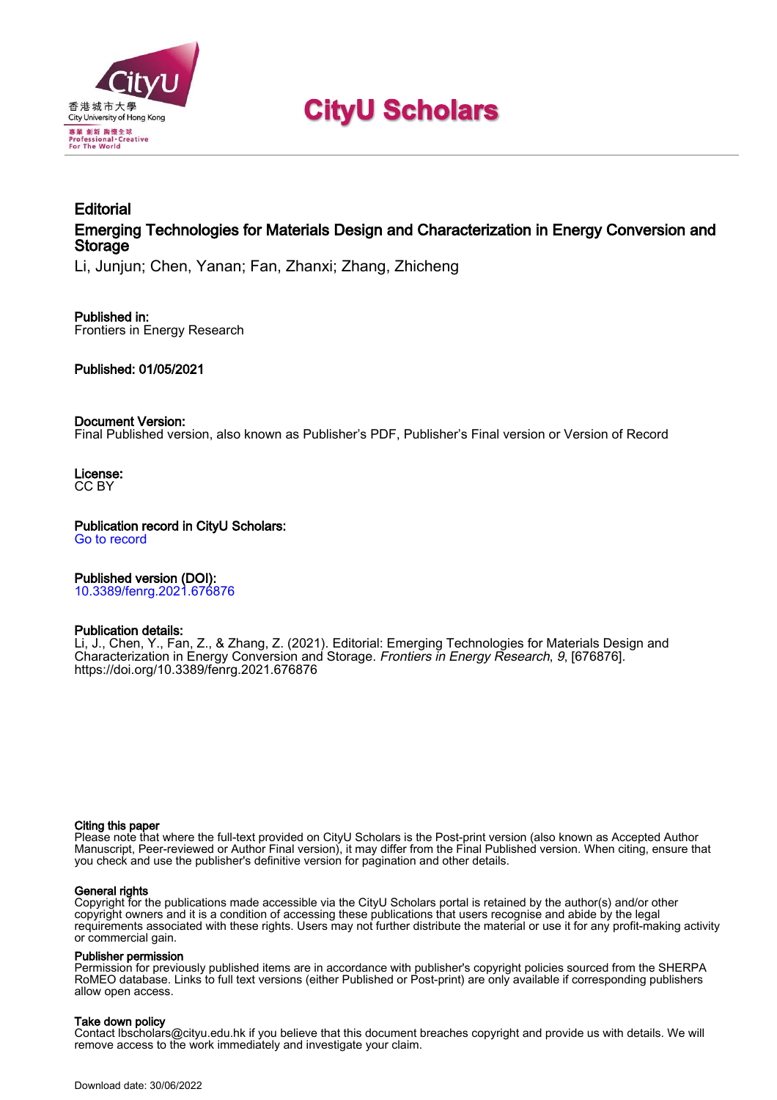

# **CityU Scholars**

# **Editorial** Emerging Technologies for Materials Design and Characterization in Energy Conversion and **Storage**

Li, Junjun; Chen, Yanan; Fan, Zhanxi; Zhang, Zhicheng

#### Published in: Frontiers in Energy Research

Published: 01/05/2021

### Document Version:

Final Published version, also known as Publisher's PDF, Publisher's Final version or Version of Record

License: CC BY

Publication record in CityU Scholars: [Go to record](https://scholars.cityu.edu.hk/en/publications/editorial(3c50f71c-b82b-4d97-89d9-5c3353050632).html)

Published version (DOI):

[10.3389/fenrg.2021.676876](https://doi.org/10.3389/fenrg.2021.676876)

## Publication details:

Li, J., Chen, Y[., Fan, Z.,](https://scholars.cityu.edu.hk/en/persons/zhanxi-fan(997985b3-c19b-488e-ae9a-b3b2b184bd9c).html) & Zhang, Z. (2021). [Editorial: Emerging Technologies for Materials Design and](https://scholars.cityu.edu.hk/en/publications/editorial(3c50f71c-b82b-4d97-89d9-5c3353050632).html) [Characterization in Energy Conversion and Storage](https://scholars.cityu.edu.hk/en/publications/editorial(3c50f71c-b82b-4d97-89d9-5c3353050632).html). [Frontiers in Energy Research](https://scholars.cityu.edu.hk/en/journals/frontiers-in-energy-research(dc7270eb-9e36-480a-a439-8d9d3cdf1874)/publications.html), 9, [676876]. <https://doi.org/10.3389/fenrg.2021.676876>

#### Citing this paper

Please note that where the full-text provided on CityU Scholars is the Post-print version (also known as Accepted Author Manuscript, Peer-reviewed or Author Final version), it may differ from the Final Published version. When citing, ensure that you check and use the publisher's definitive version for pagination and other details.

#### General rights

Copyright for the publications made accessible via the CityU Scholars portal is retained by the author(s) and/or other copyright owners and it is a condition of accessing these publications that users recognise and abide by the legal requirements associated with these rights. Users may not further distribute the material or use it for any profit-making activity or commercial gain.

#### Publisher permission

Permission for previously published items are in accordance with publisher's copyright policies sourced from the SHERPA RoMEO database. Links to full text versions (either Published or Post-print) are only available if corresponding publishers allow open access.

### Take down policy

Contact lbscholars@cityu.edu.hk if you believe that this document breaches copyright and provide us with details. We will remove access to the work immediately and investigate your claim.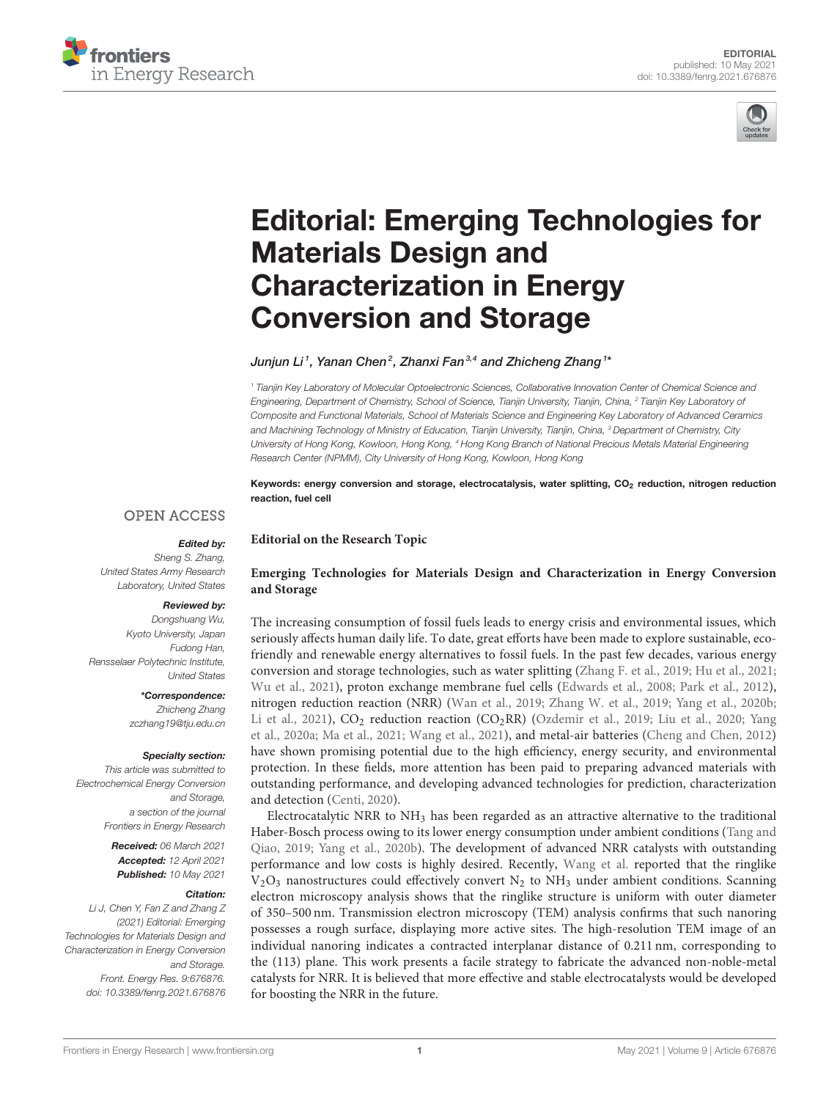



# [Editorial: Emerging Technologies for](https://www.frontiersin.org/articles/10.3389/fenrg.2021.676876/full) Materials Design and Characterization in Energy Conversion and Storage

Junjun Li<sup>1</sup>, Yanan Chen<sup>2</sup>, Zhanxi Fan<sup>3,4</sup> and Zhicheng Zhang<sup>1</sup>\*

**Editorial on the Research Topic**

*<sup>1</sup> Tianjin Key Laboratory of Molecular Optoelectronic Sciences, Collaborative Innovation Center of Chemical Science and Engineering, Department of Chemistry, School of Science, Tianjin University, Tianjin, China, <sup>2</sup> Tianjin Key Laboratory of Composite and Functional Materials, School of Materials Science and Engineering Key Laboratory of Advanced Ceramics and Machining Technology of Ministry of Education, Tianjin University, Tianjin, China, <sup>3</sup> Department of Chemistry, City University of Hong Kong, Kowloon, Hong Kong, <sup>4</sup> Hong Kong Branch of National Precious Metals Material Engineering Research Center (NPMM), City University of Hong Kong, Kowloon, Hong Kong*

Keywords: energy conversion and storage, electrocatalysis, water splitting, CO<sub>2</sub> reduction, nitrogen reduction reaction, fuel cell

### **OPEN ACCESS**

## Edited by:

*Sheng S. Zhang, United States Army Research Laboratory, United States*

#### Reviewed by:

*Dongshuang Wu, Kyoto University, Japan Fudong Han, Rensselaer Polytechnic Institute, United States*

> \*Correspondence: *Zhicheng Zhang [zczhang19@tju.edu.cn](mailto:zczhang19@tju.edu.cn)*

#### Specialty section:

*This article was submitted to Electrochemical Energy Conversion and Storage, a section of the journal Frontiers in Energy Research*

> Received: *06 March 2021* Accepted: *12 April 2021* Published: *10 May 2021*

#### Citation:

*Li J, Chen Y, Fan Z and Zhang Z (2021) Editorial: Emerging Technologies for Materials Design and Characterization in Energy Conversion and Storage. Front. Energy Res. 9:676876. doi: [10.3389/fenrg.2021.676876](https://doi.org/10.3389/fenrg.2021.676876)*

#### **[Emerging Technologies for Materials Design and Characterization in Energy Conversion](https://www.frontiersin.org/research-topics/13190/emerging-technologies-for-materials-design-and-characterization-in-energy-conversion-and-storage) and Storage**

The increasing consumption of fossil fuels leads to energy crisis and environmental issues, which seriously affects human daily life. To date, great efforts have been made to explore sustainable, ecofriendly and renewable energy alternatives to fossil fuels. In the past few decades, various energy conversion and storage technologies, such as water splitting [\(Zhang F. et al., 2019;](#page-3-0) [Hu et al., 2021;](#page-2-0) [Wu et al., 2021\)](#page-3-1), proton exchange membrane fuel cells [\(Edwards et al., 2008;](#page-2-1) [Park et al., 2012\)](#page-3-2), nitrogen reduction reaction (NRR) [\(Wan et al., 2019;](#page-3-3) [Zhang W. et al., 2019;](#page-3-4) [Yang et al., 2020b;](#page-3-5) [Li et al., 2021\)](#page-2-2),  $CO<sub>2</sub>$  reduction reaction  $(CO<sub>2</sub>RR)$  [\(Ozdemir et al., 2019;](#page-3-6) [Liu et al., 2020;](#page-2-3) Yang et al., [2020a;](#page-3-7) [Ma et al., 2021;](#page-2-4) [Wang et al., 2021\)](#page-3-8), and metal-air batteries [\(Cheng and Chen, 2012\)](#page-2-5) have shown promising potential due to the high efficiency, energy security, and environmental protection. In these fields, more attention has been paid to preparing advanced materials with outstanding performance, and developing advanced technologies for prediction, characterization and detection [\(Centi, 2020\)](#page-2-6).

Electrocatalytic NRR to NH<sup>3</sup> has been regarded as an attractive alternative to the traditional Haber-Bosch process owing to its lower energy consumption under ambient conditions (Tang and Qiao, [2019;](#page-3-9) [Yang et al., 2020b\)](#page-3-5). The development of advanced NRR catalysts with outstanding performance and low costs is highly desired. Recently, [Wang et al.](https://doi.org/10.3389/fenrg.2020.602438) reported that the ringlike  $V_2O_3$  nanostructures could effectively convert  $N_2$  to  $NH_3$  under ambient conditions. Scanning electron microscopy analysis shows that the ringlike structure is uniform with outer diameter of 350–500 nm. Transmission electron microscopy (TEM) analysis confirms that such nanoring possesses a rough surface, displaying more active sites. The high-resolution TEM image of an individual nanoring indicates a contracted interplanar distance of 0.211 nm, corresponding to the (113) plane. This work presents a facile strategy to fabricate the advanced non-noble-metal catalysts for NRR. It is believed that more effective and stable electrocatalysts would be developed for boosting the NRR in the future.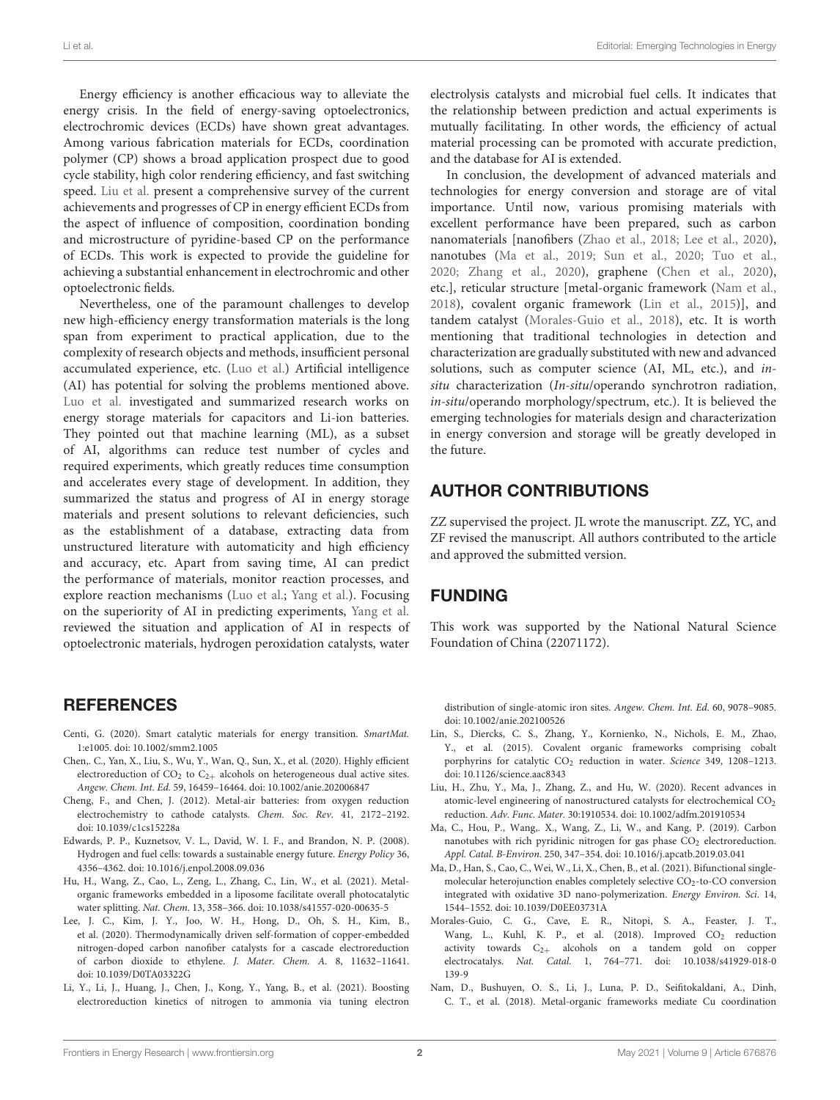Energy efficiency is another efficacious way to alleviate the energy crisis. In the field of energy-saving optoelectronics, electrochromic devices (ECDs) have shown great advantages. Among various fabrication materials for ECDs, coordination polymer (CP) shows a broad application prospect due to good cycle stability, high color rendering efficiency, and fast switching speed. [Liu et al.](https://doi.org/10.3389/fenrg.2021.620203) present a comprehensive survey of the current achievements and progresses of CP in energy efficient ECDs from the aspect of influence of composition, coordination bonding and microstructure of pyridine-based CP on the performance of ECDs. This work is expected to provide the guideline for achieving a substantial enhancement in electrochromic and other optoelectronic fields.

Nevertheless, one of the paramount challenges to develop new high-efficiency energy transformation materials is the long span from experiment to practical application, due to the complexity of research objects and methods, insufficient personal accumulated experience, etc. [\(Luo et al.\)](https://doi.org/10.3389/fenrg.2020.00116) Artificial intelligence (AI) has potential for solving the problems mentioned above. [Luo et al.](https://doi.org/10.3389/fenrg.2020.00116) investigated and summarized research works on energy storage materials for capacitors and Li-ion batteries. They pointed out that machine learning (ML), as a subset of AI, algorithms can reduce test number of cycles and required experiments, which greatly reduces time consumption and accelerates every stage of development. In addition, they summarized the status and progress of AI in energy storage materials and present solutions to relevant deficiencies, such as the establishment of a database, extracting data from unstructured literature with automaticity and high efficiency and accuracy, etc. Apart from saving time, AI can predict the performance of materials, monitor reaction processes, and explore reaction mechanisms [\(Luo et al.;](https://doi.org/10.3389/fenrg.2020.00116) [Yang et al.\)](https://doi.org/10.3389/fenrg.2020.00167). Focusing on the superiority of AI in predicting experiments, [Yang et al.](https://doi.org/10.3389/fenrg.2020.00167) reviewed the situation and application of AI in respects of optoelectronic materials, hydrogen peroxidation catalysts, water

## REFERENCES

- <span id="page-2-6"></span>Centi, G. (2020). Smart catalytic materials for energy transition. SmartMat. 1:e1005. doi: [10.1002/smm2.1005](https://doi.org/10.1002/smm2.1005)
- <span id="page-2-9"></span>Chen,. C., Yan, X., Liu, S., Wu, Y., Wan, Q., Sun, X., et al. (2020). Highly efficient electroreduction of  $CO<sub>2</sub>$  to  $C<sub>2+</sub>$  alcohols on heterogeneous dual active sites. Angew. Chem. Int. Ed. 59, 16459–16464. doi: [10.1002/anie.202006847](https://doi.org/10.1002/anie.202006847)
- <span id="page-2-5"></span>Cheng, F., and Chen, J. (2012). Metal-air batteries: from oxygen reduction electrochemistry to cathode catalysts. Chem. Soc. Rev. 41, 2172–2192. doi: [10.1039/c1cs15228a](https://doi.org/10.1039/c1cs15228a)
- <span id="page-2-1"></span>Edwards, P. P., Kuznetsov, V. L., David, W. I. F., and Brandon, N. P. (2008). Hydrogen and fuel cells: towards a sustainable energy future. Energy Policy 36, 4356–4362. doi: [10.1016/j.enpol.2008.09.036](https://doi.org/10.1016/j.enpol.2008.09.036)
- <span id="page-2-0"></span>Hu, H., Wang, Z., Cao, L., Zeng, L., Zhang, C., Lin, W., et al. (2021). Metalorganic frameworks embedded in a liposome facilitate overall photocatalytic water splitting. Nat. Chem. 13, 358–366. doi: [10.1038/s41557-020-00635-5](https://doi.org/10.1038/s41557-020-00635-5)
- <span id="page-2-7"></span>Lee, J. C., Kim, J. Y., Joo, W. H., Hong, D., Oh, S. H., Kim, B., et al. (2020). Thermodynamically driven self-formation of copper-embedded nitrogen-doped carbon nanofiber catalysts for a cascade electroreduction of carbon dioxide to ethylene. J. Mater. Chem. A. 8, 11632–11641. doi: [10.1039/D0TA03322G](https://doi.org/10.1039/D0TA03322G)
- <span id="page-2-2"></span>Li, Y., Li, J., Huang, J., Chen, J., Kong, Y., Yang, B., et al. (2021). Boosting electroreduction kinetics of nitrogen to ammonia via tuning electron

electrolysis catalysts and microbial fuel cells. It indicates that the relationship between prediction and actual experiments is mutually facilitating. In other words, the efficiency of actual material processing can be promoted with accurate prediction, and the database for AI is extended.

In conclusion, the development of advanced materials and technologies for energy conversion and storage are of vital importance. Until now, various promising materials with excellent performance have been prepared, such as carbon nanomaterials [nanofibers [\(Zhao et al., 2018;](#page-3-10) [Lee et al., 2020\)](#page-2-7), nanotubes [\(Ma et al., 2019;](#page-2-8) [Sun et al., 2020;](#page-3-11) [Tuo et al.,](#page-3-12) [2020;](#page-3-12) [Zhang et al., 2020\)](#page-3-13), graphene [\(Chen et al., 2020\)](#page-2-9), etc.], reticular structure [metal-organic framework [\(Nam et al.,](#page-2-10) [2018\)](#page-2-10), covalent organic framework [\(Lin et al., 2015\)](#page-2-11)], and tandem catalyst [\(Morales-Guio et al., 2018\)](#page-2-12), etc. It is worth mentioning that traditional technologies in detection and characterization are gradually substituted with new and advanced solutions, such as computer science (AI, ML, etc.), and insitu characterization (In-situ/operando synchrotron radiation, in-situ/operando morphology/spectrum, etc.). It is believed the emerging technologies for materials design and characterization in energy conversion and storage will be greatly developed in the future.

## AUTHOR CONTRIBUTIONS

ZZ supervised the project. JL wrote the manuscript. ZZ, YC, and ZF revised the manuscript. All authors contributed to the article and approved the submitted version.

## FUNDING

This work was supported by the National Natural Science Foundation of China (22071172).

distribution of single-atomic iron sites. Angew. Chem. Int. Ed. 60, 9078–9085. doi: [10.1002/anie.202100526](https://doi.org/10.1002/anie.202100526)

- <span id="page-2-11"></span>Lin, S., Diercks, C. S., Zhang, Y., Kornienko, N., Nichols, E. M., Zhao, Y., et al. (2015). Covalent organic frameworks comprising cobalt porphyrins for catalytic CO<sub>2</sub> reduction in water. Science 349, 1208-1213. doi: [10.1126/science.aac8343](https://doi.org/10.1126/science.aac8343)
- <span id="page-2-3"></span>Liu, H., Zhu, Y., Ma, J., Zhang, Z., and Hu, W. (2020). Recent advances in atomic-level engineering of nanostructured catalysts for electrochemical CO<sub>2</sub> reduction. Adv. Func. Mater. 30:1910534. doi: [10.1002/adfm.201910534](https://doi.org/10.1002/adfm.201910534)
- <span id="page-2-8"></span>Ma, C., Hou, P., Wang,. X., Wang, Z., Li, W., and Kang, P. (2019). Carbon nanotubes with rich pyridinic nitrogen for gas phase  $CO<sub>2</sub>$  electroreduction. Appl. Catal. B-Environ. 250, 347–354. doi: [10.1016/j.apcatb.2019.03.041](https://doi.org/10.1016/j.apcatb.2019.03.041)
- <span id="page-2-4"></span>Ma, D., Han, S., Cao, C., Wei, W., Li, X., Chen, B., et al. (2021). Bifunctional singlemolecular heterojunction enables completely selective  $CO<sub>2</sub>$ -to- $CO$  conversion integrated with oxidative 3D nano-polymerization. Energy Environ. Sci. 14, 1544–1552. doi: [10.1039/D0EE03731A](https://doi.org/10.1039/D0EE03731A)
- <span id="page-2-12"></span>Morales-Guio, C. G., Cave, E. R., Nitopi, S. A., Feaster, J. T., Wang, L., Kuhl, K. P., et al. (2018). Improved CO<sub>2</sub> reduction activity towards  $C_{2+}$  alcohols on a tandem gold on copper electrocatalys. Nat. Catal. [1, 764–771. doi: 10.1038/s41929-018-0](https://doi.org/10.1038/s41929-018-0139-9) 139-9
- <span id="page-2-10"></span>Nam, D., Bushuyen, O. S., Li, J., Luna, P. D., Seifitokaldani, A., Dinh, C. T., et al. (2018). Metal-organic frameworks mediate Cu coordination